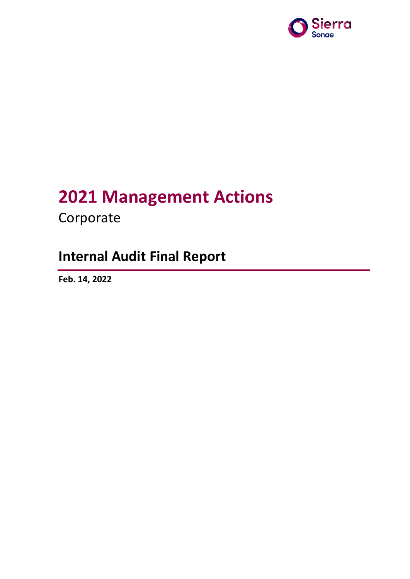

# **2021 Management Actions**

Corporate

# **Internal Audit Final Report**

**Feb. 14, 2022**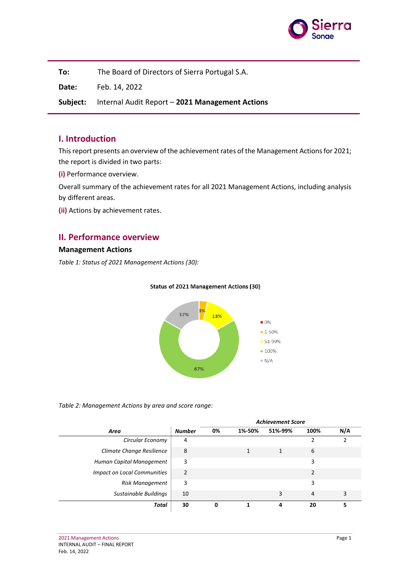

**To:** The Board of Directors of Sierra Portugal S.A.

**Date:** Feb. 14, 2022

**Subject:** Internal Audit Report – **2021 Management Actions**

### **I. Introduction**

This report presents an overview of the achievement rates of the Management Actions for 2021; the report is divided in two parts:

**(i)** Performance overview.

Overall summary of the achievement rates for all 2021 Management Actions, including analysis by different areas.

**(ii)** Actions by achievement rates.

## **II. Performance overview**

#### **Management Actions**

*Table 1: Status of 2021 Management Actions (30):*



#### **Status of 2021 Management Actions (30)**

#### *Table 2: Management Actions by area and score range:*

|                                    |                |    |        | <b>Achievement Score</b> |                |     |
|------------------------------------|----------------|----|--------|--------------------------|----------------|-----|
| Area                               | <b>Number</b>  | 0% | 1%-50% | 51%-99%                  | 100%           | N/A |
| Circular Economy                   | 4              |    |        |                          |                |     |
| Climate Change Resilience          | 8              |    |        |                          | 6              |     |
| Human Capital Management           | 3              |    |        |                          | 3              |     |
| <b>Impact on Local Communities</b> | $\overline{2}$ |    |        |                          |                |     |
| <b>Risk Management</b>             | 3              |    |        |                          | 3              |     |
| Sustainable Buildings              | 10             |    |        | 3                        | $\overline{4}$ | 3   |
| Total                              | 30             |    |        |                          | 20             |     |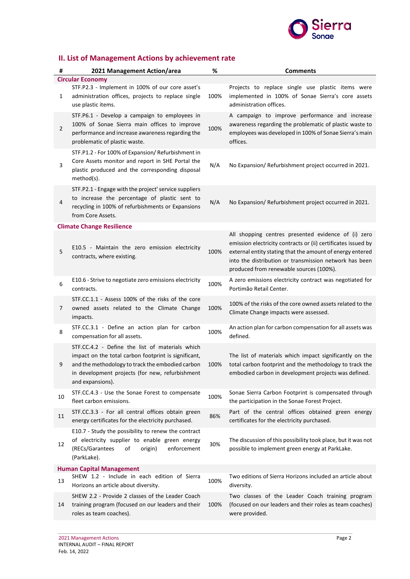

# **II. List of Management Actions by achievement rate**

| #                               | 2021 Management Action/area                                                                                                                                                                                                        | %    | <b>Comments</b>                                                                                                                                                                                                                                                                        |  |  |  |  |
|---------------------------------|------------------------------------------------------------------------------------------------------------------------------------------------------------------------------------------------------------------------------------|------|----------------------------------------------------------------------------------------------------------------------------------------------------------------------------------------------------------------------------------------------------------------------------------------|--|--|--|--|
| <b>Circular Economy</b>         |                                                                                                                                                                                                                                    |      |                                                                                                                                                                                                                                                                                        |  |  |  |  |
| 1                               | STF.P2.3 - Implement in 100% of our core asset's<br>administration offices, projects to replace single<br>use plastic items.                                                                                                       | 100% | Projects to replace single use plastic items were<br>implemented in 100% of Sonae Sierra's core assets<br>administration offices.                                                                                                                                                      |  |  |  |  |
| $\overline{2}$                  | STF.P6.1 - Develop a campaign to employees in<br>100% of Sonae Sierra main offices to improve<br>performance and increase awareness regarding the<br>problematic of plastic waste.                                                 | 100% | A campaign to improve performance and increase<br>awareness regarding the problematic of plastic waste to<br>employees was developed in 100% of Sonae Sierra's main<br>offices.                                                                                                        |  |  |  |  |
| 3                               | STF.P1.2 - For 100% of Expansion/ Refurbishment in<br>Core Assets monitor and report in SHE Portal the<br>plastic produced and the corresponding disposal<br>method(s).                                                            | N/A  | No Expansion/ Refurbishment project occurred in 2021.                                                                                                                                                                                                                                  |  |  |  |  |
| 4                               | STF.P2.1 - Engage with the project' service suppliers<br>to increase the percentage of plastic sent to<br>recycling in 100% of refurbishments or Expansions<br>from Core Assets.                                                   | N/A  | No Expansion/ Refurbishment project occurred in 2021.                                                                                                                                                                                                                                  |  |  |  |  |
|                                 | <b>Climate Change Resilience</b>                                                                                                                                                                                                   |      |                                                                                                                                                                                                                                                                                        |  |  |  |  |
| 5                               | E10.5 - Maintain the zero emission electricity<br>contracts, where existing.                                                                                                                                                       | 100% | All shopping centres presented evidence of (i) zero<br>emission electricity contracts or (ii) certificates issued by<br>external entity stating that the amount of energy entered<br>into the distribution or transmission network has been<br>produced from renewable sources (100%). |  |  |  |  |
| 6                               | E10.6 - Strive to negotiate zero emissions electricity<br>contracts.                                                                                                                                                               | 100% | A zero emissions electricity contract was negotiated for<br>Portimão Retail Center.                                                                                                                                                                                                    |  |  |  |  |
| 7                               | STF.CC.1.1 - Assess 100% of the risks of the core<br>owned assets related to the Climate Change<br>impacts.                                                                                                                        | 100% | 100% of the risks of the core owned assets related to the<br>Climate Change impacts were assessed.                                                                                                                                                                                     |  |  |  |  |
| 8                               | STF.CC.3.1 - Define an action plan for carbon<br>compensation for all assets.                                                                                                                                                      | 100% | An action plan for carbon compensation for all assets was<br>defined.                                                                                                                                                                                                                  |  |  |  |  |
| 9                               | STF.CC.4.2 - Define the list of materials which<br>impact on the total carbon footprint is significant,<br>and the methodology to track the embodied carbon<br>in development projects (for new, refurbishment<br>and expansions). | 100% | The list of materials which impact significantly on the<br>total carbon footprint and the methodology to track the<br>embodied carbon in development projects was defined.                                                                                                             |  |  |  |  |
| 10                              | STF.CC.4.3 - Use the Sonae Forest to compensate<br>fleet carbon emissions.                                                                                                                                                         | 100% | Sonae Sierra Carbon Footprint is compensated through<br>the participation in the Sonae Forest Project.                                                                                                                                                                                 |  |  |  |  |
| 11                              | STF.CC.3.3 - For all central offices obtain green<br>energy certificates for the electricity purchased.                                                                                                                            | 86%  | Part of the central offices obtained green energy<br>certificates for the electricity purchased.                                                                                                                                                                                       |  |  |  |  |
| 12                              | E10.7 - Study the possibility to renew the contract<br>of electricity supplier to enable green energy<br>(RECs/Garantees<br>of<br>origin)<br>enforcement<br>(ParkLake).                                                            | 30%  | The discussion of this possibility took place, but it was not<br>possible to implement green energy at ParkLake.                                                                                                                                                                       |  |  |  |  |
| <b>Human Capital Management</b> |                                                                                                                                                                                                                                    |      |                                                                                                                                                                                                                                                                                        |  |  |  |  |
| 13                              | SHEW 1.2 - Include in each edition of Sierra<br>Horizons an article about diversity.                                                                                                                                               | 100% | Two editions of Sierra Horizons included an article about<br>diversity.                                                                                                                                                                                                                |  |  |  |  |
| 14                              | SHEW 2.2 - Provide 2 classes of the Leader Coach<br>training program (focused on our leaders and their<br>roles as team coaches).                                                                                                  | 100% | Two classes of the Leader Coach training program<br>(focused on our leaders and their roles as team coaches)<br>were provided.                                                                                                                                                         |  |  |  |  |